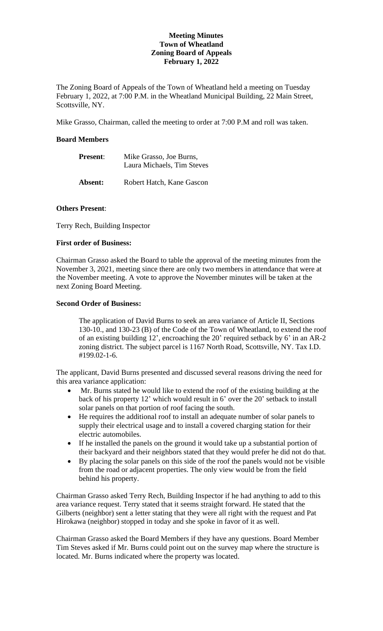### **Meeting Minutes Town of Wheatland Zoning Board of Appeals February 1, 2022**

The Zoning Board of Appeals of the Town of Wheatland held a meeting on Tuesday February 1, 2022, at 7:00 P.M. in the Wheatland Municipal Building, 22 Main Street, Scottsville, NY.

Mike Grasso, Chairman, called the meeting to order at 7:00 P.M and roll was taken.

# **Board Members**

| <b>Present:</b> | Mike Grasso, Joe Burns,<br>Laura Michaels, Tim Steves |  |
|-----------------|-------------------------------------------------------|--|
| Absent:         | Robert Hatch, Kane Gascon                             |  |

# **Others Present**:

Terry Rech, Building Inspector

### **First order of Business:**

Chairman Grasso asked the Board to table the approval of the meeting minutes from the November 3, 2021, meeting since there are only two members in attendance that were at the November meeting. A vote to approve the November minutes will be taken at the next Zoning Board Meeting.

# **Second Order of Business:**

The application of David Burns to seek an area variance of Article II, Sections 130-10., and 130-23 (B) of the Code of the Town of Wheatland, to extend the roof of an existing building 12', encroaching the 20' required setback by 6' in an AR-2 zoning district. The subject parcel is 1167 North Road, Scottsville, NY. Tax I.D. #199.02-1-6.

The applicant, David Burns presented and discussed several reasons driving the need for this area variance application:

- Mr. Burns stated he would like to extend the roof of the existing building at the back of his property 12' which would result in 6' over the 20' setback to install solar panels on that portion of roof facing the south.
- He requires the additional roof to install an adequate number of solar panels to supply their electrical usage and to install a covered charging station for their electric automobiles.
- If he installed the panels on the ground it would take up a substantial portion of their backyard and their neighbors stated that they would prefer he did not do that.
- By placing the solar panels on this side of the roof the panels would not be visible from the road or adjacent properties. The only view would be from the field behind his property.

Chairman Grasso asked Terry Rech, Building Inspector if he had anything to add to this area variance request. Terry stated that it seems straight forward. He stated that the Gilberts (neighbor) sent a letter stating that they were all right with the request and Pat Hirokawa (neighbor) stopped in today and she spoke in favor of it as well.

Chairman Grasso asked the Board Members if they have any questions. Board Member Tim Steves asked if Mr. Burns could point out on the survey map where the structure is located. Mr. Burns indicated where the property was located.